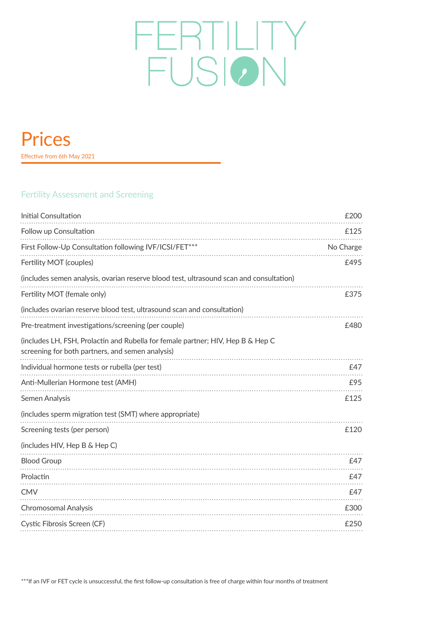# FERTILITY **FUSION**

# Prices

Effective from 6th May 2021

## Fertility Assessment and Screening

| Initial Consultation                                                                                                                | £200      |
|-------------------------------------------------------------------------------------------------------------------------------------|-----------|
| Follow up Consultation                                                                                                              | £125      |
| First Follow-Up Consultation following IVF/ICSI/FET***                                                                              | No Charge |
| Fertility MOT (couples)                                                                                                             | £495      |
| (includes semen analysis, ovarian reserve blood test, ultrasound scan and consultation)                                             |           |
| Fertility MOT (female only)                                                                                                         | £375      |
| (includes ovarian reserve blood test, ultrasound scan and consultation)                                                             |           |
| Pre-treatment investigations/screening (per couple)                                                                                 | £480      |
| (includes LH, FSH, Prolactin and Rubella for female partner; HIV, Hep B & Hep C<br>screening for both partners, and semen analysis) |           |
| Individual hormone tests or rubella (per test)                                                                                      | £47       |
| Anti-Mullerian Hormone test (AMH)                                                                                                   | £95       |
| Semen Analysis                                                                                                                      | £125      |
| (includes sperm migration test (SMT) where appropriate)                                                                             |           |
| Screening tests (per person)                                                                                                        | £120      |
| (includes HIV, Hep B & Hep C)                                                                                                       |           |
| <b>Blood Group</b>                                                                                                                  | £47       |
| Prolactin                                                                                                                           | £47       |
| <b>CMV</b>                                                                                                                          | £47       |
| Chromosomal Analysis                                                                                                                | £300      |
| Cystic Fibrosis Screen (CF)                                                                                                         | £250      |
|                                                                                                                                     |           |

\*\*\*If an IVF or FET cycle is unsuccessful, the first follow-up consultation is free of charge within four months of treatment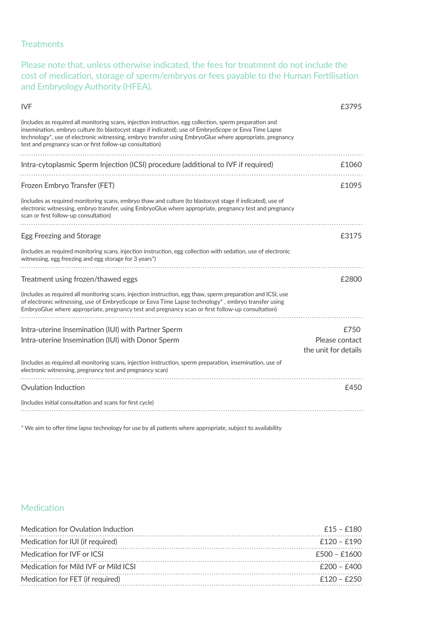#### **Treatments**

Please note that, unless otherwise indicated, the fees for treatment do not include the cost of medication, storage of sperm/embryos or fees payable to the Human Fertilisation and Embryology Authority (HFEA).

| <b>IVF</b>                                                                                                                                                                                                                                                                                                                                                                                 | £3795                |
|--------------------------------------------------------------------------------------------------------------------------------------------------------------------------------------------------------------------------------------------------------------------------------------------------------------------------------------------------------------------------------------------|----------------------|
| (includes as required all monitoring scans, injection instruction, egg collection, sperm preparation and<br>insemination, embryo culture (to blastocyst stage if indicated), use of EmbryoScope or Eeva Time Lapse<br>technology*, use of electronic witnessing, embryo transfer using EmbryoGlue where appropriate, pregnancy<br>test and pregnancy scan or first follow-up consultation) |                      |
|                                                                                                                                                                                                                                                                                                                                                                                            |                      |
| Intra-cytoplasmic Sperm Injection (ICSI) procedure (additional to IVF if required)                                                                                                                                                                                                                                                                                                         | £1060                |
|                                                                                                                                                                                                                                                                                                                                                                                            |                      |
| Frozen Embryo Transfer (FET)                                                                                                                                                                                                                                                                                                                                                               | £1095                |
| (includes as required monitoring scans, embryo thaw and culture (to blastocyst stage if indicated), use of<br>electronic witnessing, embryo transfer, using EmbryoGlue where appropriate, pregnancy test and pregnancy<br>scan or first follow-up consultation)                                                                                                                            |                      |
| Egg Freezing and Storage                                                                                                                                                                                                                                                                                                                                                                   | £3175                |
| (includes as required monitoring scans, injection instruction, egg collection with sedation, use of electronic<br>witnessing, egg freezing and egg storage for 3 years <sup>*</sup> )                                                                                                                                                                                                      |                      |
|                                                                                                                                                                                                                                                                                                                                                                                            |                      |
| Treatment using frozen/thawed eggs                                                                                                                                                                                                                                                                                                                                                         | £2800                |
| (includes as required all monitoring scans, injection instruction, egg thaw, sperm preparation and ICSI, use<br>of electronic witnessing, use of EmbryoScope or Eeva Time Lapse technology*, embryo transfer using<br>EmbryoGlue where appropriate, pregnancy test and pregnancy scan or first follow-up consultation)                                                                     |                      |
| Intra-uterine Insemination (IUI) with Partner Sperm                                                                                                                                                                                                                                                                                                                                        | £750                 |
| Intra-uterine Insemination (IUI) with Donor Sperm                                                                                                                                                                                                                                                                                                                                          | Please contact       |
|                                                                                                                                                                                                                                                                                                                                                                                            | the unit for details |
| (includes as required all monitoring scans, injection instruction, sperm preparation, insemination, use of<br>electronic witnessing, pregnancy test and pregnancy scan)                                                                                                                                                                                                                    |                      |
| Ovulation Induction                                                                                                                                                                                                                                                                                                                                                                        | £450                 |
| (includes initial consultation and scans for first cycle)                                                                                                                                                                                                                                                                                                                                  |                      |
|                                                                                                                                                                                                                                                                                                                                                                                            |                      |

\* We aim to offer time lapse technology for use by all patients where appropriate, subject to availability

#### **Medication**

| $f15 - f180$   |
|----------------|
| $f120 - f190$  |
| $f500 - f1600$ |
| $f200 - f400$  |
| $f120 - f250$  |
|                |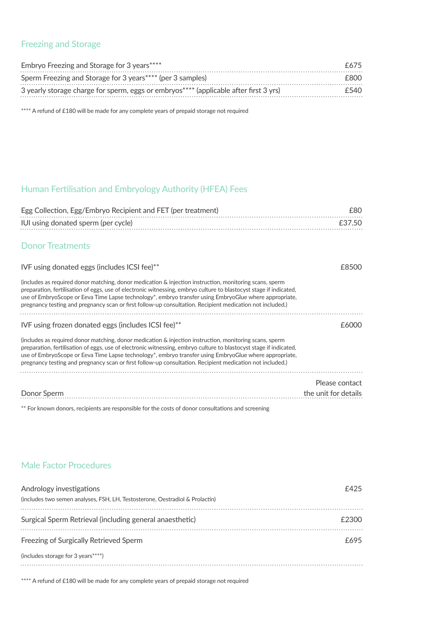#### Freezing and Storage

| Embryo Freezing and Storage for 3 years****                                           | F675  |
|---------------------------------------------------------------------------------------|-------|
| Sperm Freezing and Storage for 3 years**** (per 3 samples)                            | F800. |
| 3 yearly storage charge for sperm, eggs or embryos**** (applicable after first 3 yrs) | £540  |

\*\*\*\* A refund of £180 will be made for any complete years of prepaid storage not required

# Human Fertilisation and Embryology Authority (HFEA) Fees

| Egg Collection, Egg/Embryo Recipient and FET (per treatment)                                                                                                                                                                                                                                                                                                                                                                                         | £80                  |
|------------------------------------------------------------------------------------------------------------------------------------------------------------------------------------------------------------------------------------------------------------------------------------------------------------------------------------------------------------------------------------------------------------------------------------------------------|----------------------|
| IUI using donated sperm (per cycle)                                                                                                                                                                                                                                                                                                                                                                                                                  | £37.50               |
| <b>Donor Treatments</b>                                                                                                                                                                                                                                                                                                                                                                                                                              |                      |
| IVF using donated eggs (includes ICSI fee)**                                                                                                                                                                                                                                                                                                                                                                                                         | £8500                |
| (includes as required donor matching, donor medication & injection instruction, monitoring scans, sperm<br>preparation, fertilisation of eggs, use of electronic witnessing, embryo culture to blastocyst stage if indicated,<br>use of EmbryoScope or Eeva Time Lapse technology*, embryo transfer using EmbryoGlue where appropriate,<br>pregnancy testing and pregnancy scan or first follow-up consultation. Recipient medication not included.) |                      |
| IVF using frozen donated eggs (includes ICSI fee)**                                                                                                                                                                                                                                                                                                                                                                                                  | £6000                |
| (includes as required donor matching, donor medication & injection instruction, monitoring scans, sperm<br>preparation, fertilisation of eggs, use of electronic witnessing, embryo culture to blastocyst stage if indicated,<br>use of EmbryoScope or Eeva Time Lapse technology*, embryo transfer using EmbryoGlue where appropriate,<br>pregnancy testing and pregnancy scan or first follow-up consultation. Recipient medication not included.) |                      |
|                                                                                                                                                                                                                                                                                                                                                                                                                                                      | Please contact       |
| Donor Sperm                                                                                                                                                                                                                                                                                                                                                                                                                                          | the unit for details |

\*\* For known donors, recipients are responsible for the costs of donor consultations and screening

#### Male Factor Procedures

| Andrology investigations<br>(includes two semen analyses, FSH, LH, Testosterone, Oestradiol & Prolactin) | £425  |
|----------------------------------------------------------------------------------------------------------|-------|
| Surgical Sperm Retrieval (including general anaesthetic)                                                 | £2300 |
| Freezing of Surgically Retrieved Sperm                                                                   | £695  |
| (includes storage for 3 years ****)                                                                      |       |
|                                                                                                          |       |

\*\*\*\* A refund of £180 will be made for any complete years of prepaid storage not required